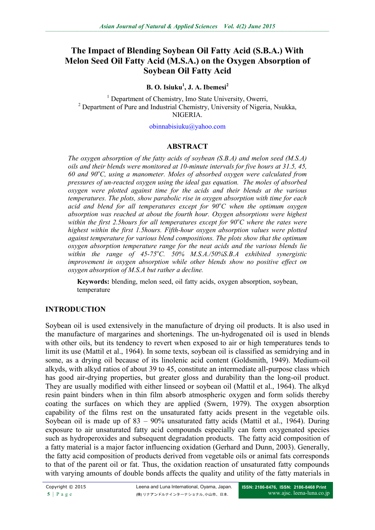# **The Impact of Blending Soybean Oil Fatty Acid (S.B.A.) With Melon Seed Oil Fatty Acid (M.S.A.) on the Oxygen Absorption of Soybean Oil Fatty Acid**

#### **B. O. Isiuku<sup>1</sup> , J. A. Ibemesi<sup>2</sup>**

<sup>1</sup> Department of Chemistry, Imo State University, Owerri, <sup>2</sup> Department of Pure and Industrial Chemistry, University of Nigeria, Nsukka, **NIGERIA** 

[obinnabisiuku@yahoo.com](mailto:obinnabisiuku@yahoo.com)

#### **ABSTRACT**

*The oxygen absorption of the fatty acids of soybean (S.B.A) and melon seed (M.S.A) oils and their blends were monitored at 10-minute intervals for five hours at 31.5, 45, 60 and 90<sup>o</sup>C, using a manometer. Moles of absorbed oxygen were calculated from pressures of un-reacted oxygen using the ideal gas equation. The moles of absorbed oxygen were plotted against time for the acids and their blends at the various temperatures. The plots, show parabolic rise in oxygen absorption with time for each acid and blend for all temperatures except for 90<sup>o</sup>C when the optimum oxygen absorption was reached at about the fourth hour. Oxygen absorptions were highest within the first 2.5hours for all temperatures except for 90<sup><i>o*</sup>C where the rates were *highest within the first 1.5hours. Fifth-hour oxygen absorption values were plotted against temperature for various blend compositions. The plots show that the optimum oxygen absorption temperature range for the neat acids and the various blends lie within the range of 45-75<sup>o</sup>C. 50% M.S.A./50%S.B.A exhibited synergistic improvement in oxygen absorption while other blends show no positive effect on oxygen absorption of M.S.A but rather a decline.*

**Keywords:** blending, melon seed, oil fatty acids, oxygen absorption, soybean, temperature

#### **INTRODUCTION**

Soybean oil is used extensively in the manufacture of drying oil products. It is also used in the manufacture of margarines and shortenings. The un-hydrogenated oil is used in blends with other oils, but its tendency to revert when exposed to air or high temperatures tends to limit its use (Mattil et al., 1964). In some texts, soybean oil is classified as semidrying and in some, as a drying oil because of its linolenic acid content (Goldsmith, 1949). Medium-oil alkyds, with alkyd ratios of about 39 to 45, constitute an intermediate all-purpose class which has good air-drying properties, but greater gloss and durability than the long-oil product. They are usually modified with either linseed or soybean oil (Mattil et al., 1964). The alkyd resin paint binders when in thin film absorb atmospheric oxygen and form solids thereby coating the surfaces on which they are applied (Swern, 1979). The oxygen absorption capability of the films rest on the unsaturated fatty acids present in the vegetable oils. Soybean oil is made up of 83 – 90% unsaturated fatty acids (Mattil et al., 1964). During exposure to air unsaturated fatty acid compounds especially can form oxygenated species such as hydroperoxides and subsequent degradation products. The fatty acid composition of a fatty material is a major factor influencing oxidation (Gerhard and Dunn, 2003). Generally, the fatty acid composition of products derived from vegetable oils or animal fats corresponds to that of the parent oil or fat. Thus, the oxidation reaction of unsaturated fatty compounds with varying amounts of double bonds affects the quality and utility of the fatty materials in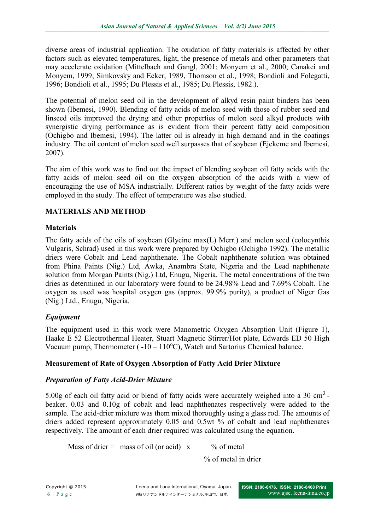diverse areas of industrial application. The oxidation of fatty materials is affected by other factors such as elevated temperatures, light, the presence of metals and other parameters that may accelerate oxidation (Mittelbach and Gangl, 2001; Monyem et al., 2000; Canakei and Monyem, 1999; Simkovsky and Ecker, 1989, Thomson et al., 1998; Bondioli and Folegatti, 1996; Bondioli et al., 1995; Du Plessis et al., 1985; Du Plessis, 1982.).

The potential of melon seed oil in the development of alkyd resin paint binders has been shown (Ibemesi, 1990). Blending of fatty acids of melon seed with those of rubber seed and linseed oils improved the drying and other properties of melon seed alkyd products with synergistic drying performance as is evident from their percent fatty acid composition (Ochigbo and Ibemesi, 1994). The latter oil is already in high demand and in the coatings industry. The oil content of melon seed well surpasses that of soybean (Ejekeme and Ibemesi, 2007).

The aim of this work was to find out the impact of blending soybean oil fatty acids with the fatty acids of melon seed oil on the oxygen absorption of the acids with a view of encouraging the use of MSA industrially. Different ratios by weight of the fatty acids were employed in the study. The effect of temperature was also studied.

### **MATERIALS AND METHOD**

### **Materials**

The fatty acids of the oils of soybean (Glycine max(L) Merr.) and melon seed (colocynthis Vulgaris, Schrad) used in this work were prepared by Ochigbo (Ochigbo 1992). The metallic driers were Cobalt and Lead naphthenate. The Cobalt naphthenate solution was obtained from Phina Paints (Nig.) Ltd, Awka, Anambra State, Nigeria and the Lead naphthenate solution from Morgan Paints (Nig.) Ltd, Enugu, Nigeria. The metal concentrations of the two dries as determined in our laboratory were found to be 24.98% Lead and 7.69% Cobalt. The oxygen as used was hospital oxygen gas (approx. 99.9% purity), a product of Niger Gas (Nig.) Ltd., Enugu, Nigeria.

### *Equipment*

The equipment used in this work were Manometric Oxygen Absorption Unit (Figure 1), Haake E 52 Electrothermal Heater, Stuart Magnetic Stirrer/Hot plate, Edwards ED 50 High Vacuum pump, Thermometer ( $-10 - 110^{\circ}$ C), Watch and Sartorius Chemical balance.

#### **Measurement of Rate of Oxygen Absorption of Fatty Acid Drier Mixture**

#### *Preparation of Fatty Acid-Drier Mixture*

5.00g of each oil fatty acid or blend of fatty acids were accurately weighed into a 30 cm<sup>3</sup> beaker. 0.03 and 0.10g of cobalt and lead naphthenates respectively were added to the sample. The acid-drier mixture was them mixed thoroughly using a glass rod. The amounts of driers added represent approximately 0.05 and 0.5wt % of cobalt and lead naphthenates respectively. The amount of each drier required was calculated using the equation.

Mass of drier = mass of oil (or acid)  $x$  % of metal

% of metal in drier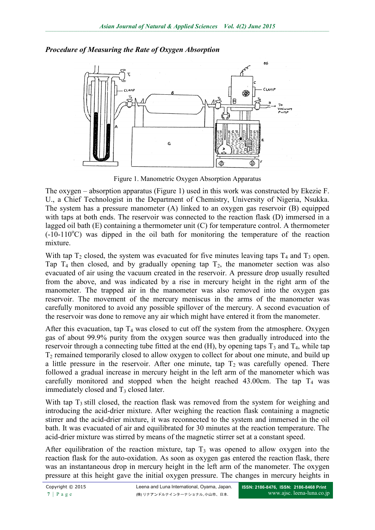

### *Procedure of Measuring the Rate of Oxygen Absorption*

Figure 1. Manometric Oxygen Absorption Apparatus

The oxygen – absorption apparatus (Figure 1) used in this work was constructed by Ekezie F. U., a Chief Technologist in the Department of Chemistry, University of Nigeria, Nsukka. The system has a pressure manometer (A) linked to an oxygen gas reservoir (B) equipped with taps at both ends. The reservoir was connected to the reaction flask (D) immersed in a lagged oil bath (E) containing a thermometer unit (C) for temperature control. A thermometer  $(-10-110^{\circ}\text{C})$  was dipped in the oil bath for monitoring the temperature of the reaction mixture.

With tap  $T_2$  closed, the system was evacuated for five minutes leaving taps  $T_4$  and  $T_3$  open. Tap  $T_4$  then closed, and by gradually opening tap  $T_2$ , the manometer section was also evacuated of air using the vacuum created in the reservoir. A pressure drop usually resulted from the above, and was indicated by a rise in mercury height in the right arm of the manometer. The trapped air in the manometer was also removed into the oxygen gas reservoir. The movement of the mercury meniscus in the arms of the manometer was carefully monitored to avoid any possible spillover of the mercury. A second evacuation of the reservoir was done to remove any air which might have entered it from the manometer.

After this evacuation, tap  $T_4$  was closed to cut off the system from the atmosphere. Oxygen gas of about 99.9% purity from the oxygen source was then gradually introduced into the reservoir through a connecting tube fitted at the end (H), by opening taps  $T_3$  and  $T_4$ , while tap  $T<sub>2</sub>$  remained temporarily closed to allow oxygen to collect for about one minute, and build up a little pressure in the reservoir. After one minute, tap  $T_2$  was carefully opened. There followed a gradual increase in mercury height in the left arm of the manometer which was carefully monitored and stopped when the height reached 43.00cm. The tap  $T_4$  was immediately closed and  $T_3$  closed later.

With tap  $T_3$  still closed, the reaction flask was removed from the system for weighing and introducing the acid-drier mixture. After weighing the reaction flask containing a magnetic stirrer and the acid-drier mixture, it was reconnected to the system and immersed in the oil bath. It was evacuated of air and equilibrated for 30 minutes at the reaction temperature. The acid-drier mixture was stirred by means of the magnetic stirrer set at a constant speed.

After equilibration of the reaction mixture, tap  $T_3$  was opened to allow oxygen into the reaction flask for the auto-oxidation. As soon as oxygen gas entered the reaction flask, there was an instantaneous drop in mercury height in the left arm of the manometer. The oxygen pressure at this height gave the initial oxygen pressure. The changes in mercury heights in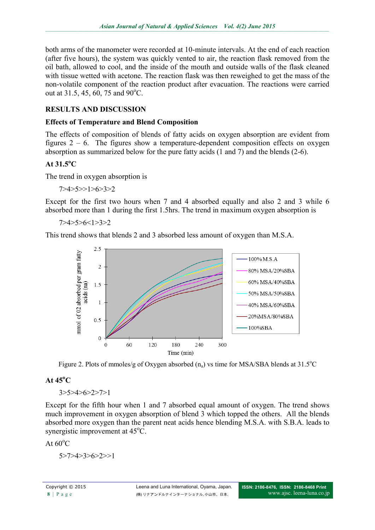both arms of the manometer were recorded at 10-minute intervals. At the end of each reaction (after five hours), the system was quickly vented to air, the reaction flask removed from the oil bath, allowed to cool, and the inside of the mouth and outside walls of the flask cleaned with tissue wetted with acetone. The reaction flask was then reweighed to get the mass of the non-volatile component of the reaction product after evacuation. The reactions were carried out at 31.5, 45, 60, 75 and  $90^{\circ}$ C.

## **RESULTS AND DISCUSSION**

### **Effects of Temperature and Blend Composition**

The effects of composition of blends of fatty acids on oxygen absorption are evident from figures  $2 - 6$ . The figures show a temperature-dependent composition effects on oxygen absorption as summarized below for the pure fatty acids (1 and 7) and the blends (2-6).

### **At 31.5<sup>o</sup>C**

The trend in oxygen absorption is

7>4>5>>1>6>3>2

Except for the first two hours when 7 and 4 absorbed equally and also 2 and 3 while 6 absorbed more than 1 during the first 1.5hrs. The trend in maximum oxygen absorption is

7>4>5>6<1>3>2

This trend shows that blends 2 and 3 absorbed less amount of oxygen than M.S.A.



Figure 2. Plots of mmoles/g of Oxygen absorbed  $(n_a)$  vs time for MSA/SBA blends at 31.5<sup>o</sup>C

## **At 45<sup>o</sup>C**

3>5>4>6>2>7>1

Except for the fifth hour when 1 and 7 absorbed equal amount of oxygen. The trend shows much improvement in oxygen absorption of blend 3 which topped the others. All the blends absorbed more oxygen than the parent neat acids hence blending M.S.A. with S.B.A. leads to synergistic improvement at  $45^{\circ}$ C.

At  $60^{\circ}$ C

5>7>4>3>6>2>>1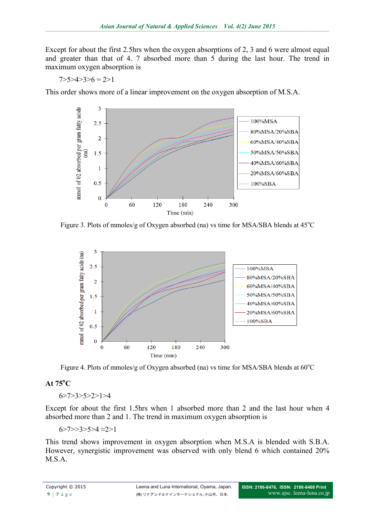Except for about the first 2.5hrs when the oxygen absorptions of 2, 3 and 6 were almost equal and greater than that of 4. 7 absorbed more than 5 during the last hour. The trend in maximum oxygen absorption is

$$
7 > 5 > 4 > 3 > 6 = 2 > 1
$$

This order shows more of a linear improvement on the oxygen absorption of M.S.A.



Figure 3. Plots of mmoles/g of Oxygen absorbed (na) vs time for MSA/SBA blends at  $45^{\circ}$ C



Figure 4. Plots of mmoles/g of Oxygen absorbed (na) vs time for MSA/SBA blends at  $60^{\circ}$ C

## **At 75<sup>o</sup>C**

6>7>3>5>2>1>4

Except for about the first 1.5hrs when 1 absorbed more than 2 and the last hour when 4 absorbed more than 2 and 1. The trend in maximum oxygen absorption is

6>7>>3>5>4 ≈2>1

This trend shows improvement in oxygen absorption when M.S.A is blended with S.B.A. However, synergistic improvement was observed with only blend 6 which contained 20% M.S.A.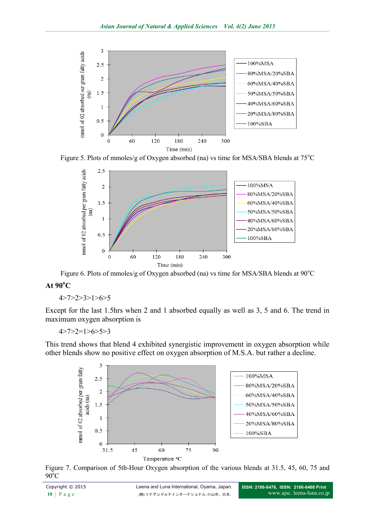

Figure 5. Plots of mmoles/g of Oxygen absorbed (na) vs time for MSA/SBA blends at 75°C



Figure 6. Plots of mmoles/g of Oxygen absorbed (na) vs time for MSA/SBA blends at  $90^{\circ}$ C

## **At 90<sup>o</sup>C**

#### 4>7>2>3>1>6>5

Except for the last 1.5hrs when 2 and 1 absorbed equally as well as 3, 5 and 6. The trend in maximum oxygen absorption is

 $4 > 7 > 2 = 1 > 6 > 5 > 3$ 

This trend shows that blend 4 exhibited synergistic improvement in oxygen absorption while other blends show no positive effect on oxygen absorption of M.S.A. but rather a decline.



Figure 7. Comparison of 5th-Hour Oxygen absorption of the various blends at 31.5, 45, 60, 75 and  $90^{\circ}$ C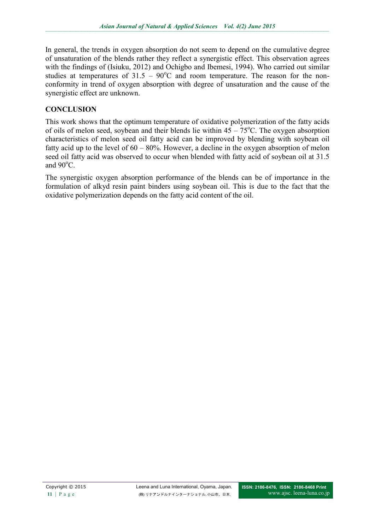In general, the trends in oxygen absorption do not seem to depend on the cumulative degree of unsaturation of the blends rather they reflect a synergistic effect. This observation agrees with the findings of (Isiuku, 2012) and Ochigbo and Ibemesi, 1994). Who carried out similar studies at temperatures of  $31.5 - 90^{\circ}$ C and room temperature. The reason for the nonconformity in trend of oxygen absorption with degree of unsaturation and the cause of the synergistic effect are unknown.

## **CONCLUSION**

This work shows that the optimum temperature of oxidative polymerization of the fatty acids of oils of melon seed, soybean and their blends lie within  $45 - 75^{\circ}$ C. The oxygen absorption characteristics of melon seed oil fatty acid can be improved by blending with soybean oil fatty acid up to the level of 60 – 80%. However, a decline in the oxygen absorption of melon seed oil fatty acid was observed to occur when blended with fatty acid of soybean oil at 31.5 and  $90^{\circ}$ C.

The synergistic oxygen absorption performance of the blends can be of importance in the formulation of alkyd resin paint binders using soybean oil. This is due to the fact that the oxidative polymerization depends on the fatty acid content of the oil.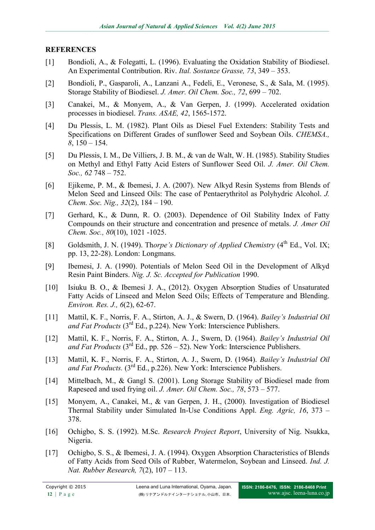### **REFERENCES**

- [1] Bondioli, A., & Folegatti, L. (1996). Evaluating the Oxidation Stability of Biodiesel. An Experimental Contribution. Riv. *Ital. Sostanze Grasse, 73*, 349 – 353.
- [2] Bondioli, P., Gasparoli, A., Lanzani A., Fedeli, E., Veronese, S., & Sala, M. (1995). Storage Stability of Biodiesel. *J. Amer. Oil Chem. Soc., 72*, 699 – 702.
- [3] Canakei, M., & Monyem, A., & Van Gerpen, J. (1999). Accelerated oxidation processes in biodiesel. *Trans. ASAE, 42*, 1565-1572.
- [4] Du Plessis, L. M. (1982). Plant Oils as Diesel Fuel Extenders: Stability Tests and Specifications on Different Grades of sunflower Seed and Soybean Oils. *CHEMSA., 8*, 150 – 154.
- [5] Du Plessis, I. M., De Villiers, J. B. M., & van de Walt, W. H. (1985). Stability Studies on Methyl and Ethyl Fatty Acid Esters of Sunflower Seed Oil. *J. Amer. Oil Chem. Soc., 62* 748 – 752.
- [6] Ejikeme, P. M., & Ibemesi, J. A. (2007). New Alkyd Resin Systems from Blends of Melon Seed and Linseed Oils: The case of Pentaerythritol as Polyhydric Alcohol. *J. Chem. Soc. Nig., 32*(2), 184 – 190.
- [7] Gerhard, K., & Dunn, R. O. (2003). Dependence of Oil Stability Index of Fatty Compounds on their structure and concentration and presence of metals. *J. Amer Oil Chem. Soc., 80*(10), 1021 -1025.
- [8] Goldsmith, J. N. (1949). Thorpe's Dictionary of Applied Chemistry (4<sup>th</sup> Ed., Vol. IX; pp. 13, 22-28). London: Longmans.
- [9] Ibemesi, J. A. (1990). Potentials of Melon Seed Oil in the Development of Alkyd Resin Paint Binders. *Nig. J. Sc. Accepted for Publication* 1990.
- [10] Isiuku B. O., & Ibemesi J. A., (2012). Oxygen Absorption Studies of Unsaturated Fatty Acids of Linseed and Melon Seed Oils; Effects of Temperature and Blending. *Environ. Res. J., 6*(2), 62-67.
- [11] Mattil, K. F., Norris, F. A., Stirton, A. J., & Swern, D. (1964). *Bailey's Industrial Oil and Fat Products* ( $3^{rd}$  Ed., p.224). New York: Interscience Publishers.
- [12] Mattil, K. F., Norris, F. A., Stirton, A. J., Swern, D. (1964). *Bailey's Industrial Oil and Fat Products*  $(3<sup>rd</sup> Ed., pp. 526 – 52)$ . New York: Interscience Publishers.
- [13] Mattil, K. F., Norris, F. A., Stirton, A. J., Swern, D. (1964). *Bailey's Industrial Oil and Fat Products.* (3<sup>rd</sup> Ed., p.226). New York: Interscience Publishers.
- [14] Mittelbach, M., & Gangl S. (2001). Long Storage Stability of Biodiesel made from Rapeseed and used frying oil. *J. Amer. Oil Chem. Soc., 78*, 573 – 577.
- [15] Monyem, A., Canakei, M., & van Gerpen, J. H., (2000). Investigation of Biodiesel Thermal Stability under Simulated In-Use Conditions Appl. *Eng. Agric, 16*, 373 – 378.
- [16] Ochigbo, S. S. (1992). M.Sc. *Research Project Report*, University of Nig. Nsukka, Nigeria.
- [17] Ochigbo, S. S., & Ibemesi, J. A. (1994). Oxygen Absorption Characteristics of Blends of Fatty Acids from Seed Oils of Rubber, Watermelon, Soybean and Linseed. *Ind. J. Nat. Rubber Research, 7*(2), 107 – 113.